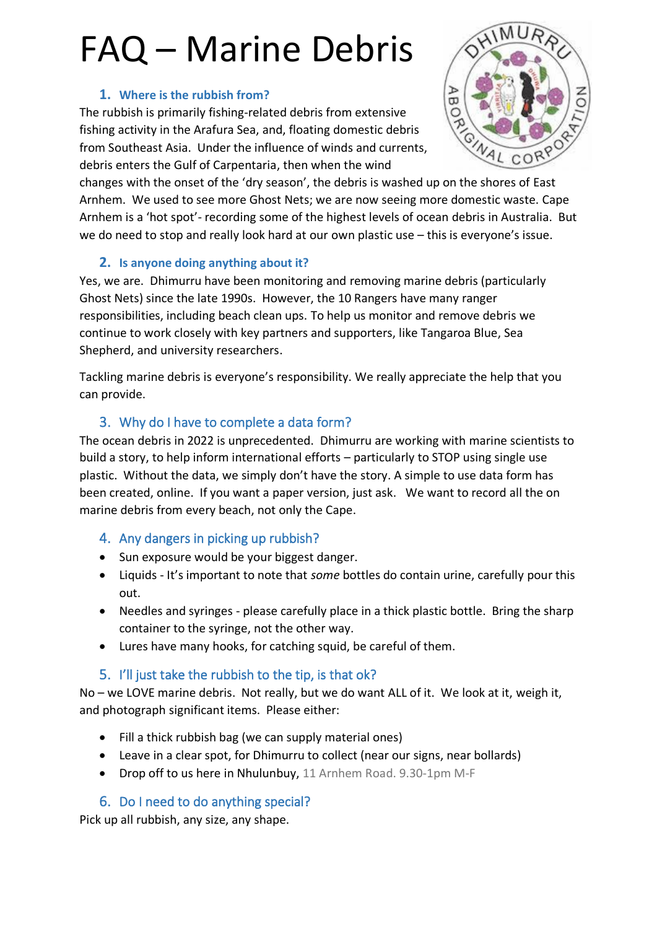# FAQ – Marine Debris

#### **1. Where is the rubbish from?**

The rubbish is primarily fishing-related debris from extensive fishing activity in the Arafura Sea, and, floating domestic debris from Southeast Asia. Under the influence of winds and currents, debris enters the Gulf of Carpentaria, then when the wind



changes with the onset of the 'dry season', the debris is washed up on the shores of East Arnhem. We used to see more Ghost Nets; we are now seeing more domestic waste. Cape Arnhem is a 'hot spot'- recording some of the highest levels of ocean debris in Australia. But we do need to stop and really look hard at our own plastic use – this is everyone's issue.

#### **2. Is anyone doing anything about it?**

Yes, we are. Dhimurru have been monitoring and removing marine debris (particularly Ghost Nets) since the late 1990s. However, the 10 Rangers have many ranger responsibilities, including beach clean ups. To help us monitor and remove debris we continue to work closely with key partners and supporters, like Tangaroa Blue, Sea Shepherd, and university researchers.

Tackling marine debris is everyone's responsibility. We really appreciate the help that you can provide.

### 3. Why do I have to complete a data form?

The ocean debris in 2022 is unprecedented. Dhimurru are working with marine scientists to build a story, to help inform international efforts – particularly to STOP using single use plastic. Without the data, we simply don't have the story. A simple to use data form has been created, online. If you want a paper version, just ask. We want to record all the on marine debris from every beach, not only the Cape.

#### 4. Any dangers in picking up rubbish?

- Sun exposure would be your biggest danger.
- Liquids It's important to note that *some* bottles do contain urine, carefully pour this out.
- Needles and syringes please carefully place in a thick plastic bottle. Bring the sharp container to the syringe, not the other way.
- Lures have many hooks, for catching squid, be careful of them.

## 5. I'll just take the rubbish to the tip, is that ok?

No – we LOVE marine debris. Not really, but we do want ALL of it. We look at it, weigh it, and photograph significant items. Please either:

- Fill a thick rubbish bag (we can supply material ones)
- Leave in a clear spot, for Dhimurru to collect (near our signs, near bollards)
- Drop off to us here in Nhulunbuy, 11 Arnhem Road. 9.30-1pm M-F

## 6. Do I need to do anything special?

Pick up all rubbish, any size, any shape.